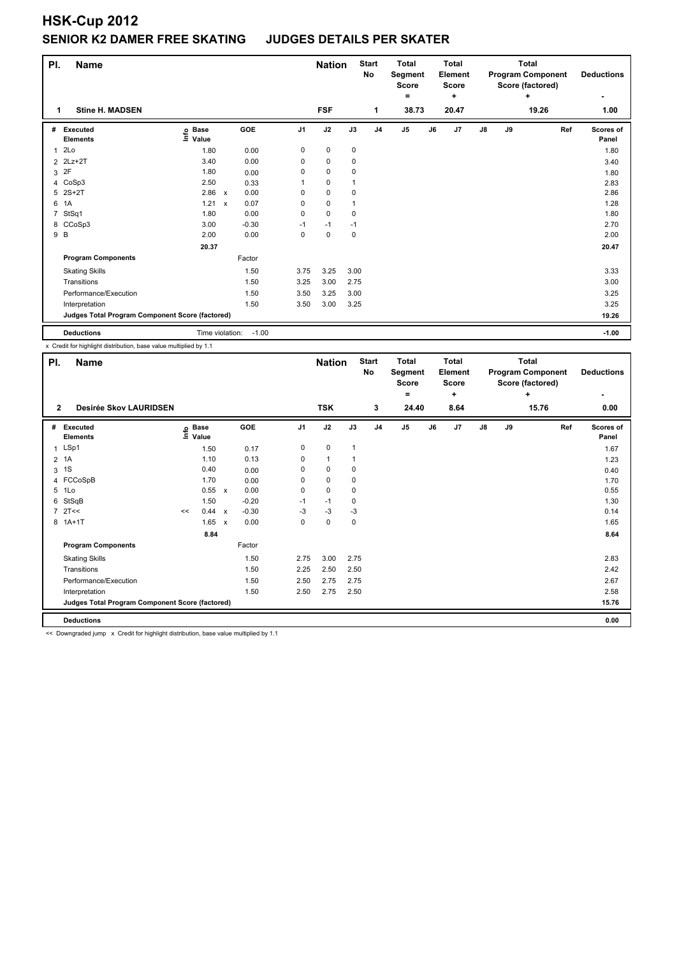## **HSK-Cup 2012 SENIOR K2 DAMER FREE SKATING JUDGES DETAILS PER SKATER**

| PI.                                             | <b>Name</b>                        |                            |                      | <b>Nation</b>  |             | <b>Start</b><br>No | <b>Total</b><br>Segment<br><b>Score</b><br>$\equiv$ |                | <b>Total</b><br>Element<br><b>Score</b><br>÷ |       | <b>Total</b><br><b>Program Component</b><br>Score (factored) | <b>Deductions</b> |       |                           |
|-------------------------------------------------|------------------------------------|----------------------------|----------------------|----------------|-------------|--------------------|-----------------------------------------------------|----------------|----------------------------------------------|-------|--------------------------------------------------------------|-------------------|-------|---------------------------|
| 1                                               | <b>Stine H. MADSEN</b>             |                            |                      |                | <b>FSF</b>  |                    | 1                                                   | 38.73          |                                              | 20.47 |                                                              |                   | 19.26 | 1.00                      |
| #                                               | <b>Executed</b><br><b>Elements</b> | e Base<br>⊑ Value<br>Value | GOE                  | J <sub>1</sub> | J2          | J3                 | J <sub>4</sub>                                      | J <sub>5</sub> | J6                                           | J7    | J8                                                           | J9                | Ref   | <b>Scores of</b><br>Panel |
| $\mathbf{1}$                                    | 2Lo                                | 1.80                       | 0.00                 | 0              | $\mathbf 0$ | 0                  |                                                     |                |                                              |       |                                                              |                   |       | 1.80                      |
| $\overline{2}$                                  | $2Lz+2T$                           | 3.40                       | 0.00                 | 0              | 0           | 0                  |                                                     |                |                                              |       |                                                              |                   |       | 3.40                      |
| 3                                               | 2F                                 | 1.80                       | 0.00                 | $\Omega$       | 0           | 0                  |                                                     |                |                                              |       |                                                              |                   |       | 1.80                      |
| 4                                               | CoSp3                              | 2.50                       | 0.33                 |                | 0           |                    |                                                     |                |                                              |       |                                                              |                   |       | 2.83                      |
| 5                                               | $2S+2T$                            | 2.86                       | 0.00<br>$\mathsf{x}$ | $\Omega$       | 0           | 0                  |                                                     |                |                                              |       |                                                              |                   |       | 2.86                      |
| 6                                               | 1A                                 | 1.21                       | 0.07<br>$\mathsf{x}$ | 0              | $\mathbf 0$ |                    |                                                     |                |                                              |       |                                                              |                   |       | 1.28                      |
| 7                                               | StSq1                              | 1.80                       | 0.00                 | 0              | $\mathbf 0$ | 0                  |                                                     |                |                                              |       |                                                              |                   |       | 1.80                      |
| 8                                               | CCoSp3                             | 3.00                       | $-0.30$              | $-1$           | $-1$        | $-1$               |                                                     |                |                                              |       |                                                              |                   |       | 2.70                      |
|                                                 | 9 B                                | 2.00                       | 0.00                 | 0              | $\mathbf 0$ | 0                  |                                                     |                |                                              |       |                                                              |                   |       | 2.00                      |
|                                                 |                                    | 20.37                      |                      |                |             |                    |                                                     |                |                                              |       |                                                              |                   |       | 20.47                     |
|                                                 | <b>Program Components</b>          |                            | Factor               |                |             |                    |                                                     |                |                                              |       |                                                              |                   |       |                           |
|                                                 | <b>Skating Skills</b>              |                            | 1.50                 | 3.75           | 3.25        | 3.00               |                                                     |                |                                              |       |                                                              |                   |       | 3.33                      |
|                                                 | Transitions                        |                            | 1.50                 | 3.25           | 3.00        | 2.75               |                                                     |                |                                              |       |                                                              |                   |       | 3.00                      |
|                                                 | Performance/Execution              |                            | 1.50                 | 3.50           | 3.25        | 3.00               |                                                     |                |                                              |       |                                                              |                   |       | 3.25                      |
|                                                 | Interpretation                     |                            | 1.50                 | 3.50           | 3.00        | 3.25               |                                                     |                |                                              |       |                                                              |                   |       | 3.25                      |
| Judges Total Program Component Score (factored) |                                    |                            |                      |                |             |                    |                                                     |                |                                              |       |                                                              | 19.26             |       |                           |
|                                                 | <b>Deductions</b>                  | Time violation:            | $-1.00$              |                |             |                    |                                                     |                |                                              |       |                                                              |                   |       | $-1.00$                   |

x Credit for highlight distribution, base value multiplied by 1.1

| PI.            | <b>Name</b>                                     |    |                      |                           |            |                | <b>Nation</b> |              | <b>Start</b><br><b>No</b> | <b>Total</b><br>Segment<br><b>Score</b> |    | <b>Total</b><br>Element<br><b>Score</b> |    |    | <b>Total</b><br><b>Program Component</b><br>Score (factored) | <b>Deductions</b>        |
|----------------|-------------------------------------------------|----|----------------------|---------------------------|------------|----------------|---------------|--------------|---------------------------|-----------------------------------------|----|-----------------------------------------|----|----|--------------------------------------------------------------|--------------------------|
|                |                                                 |    |                      |                           |            |                |               |              |                           | $\equiv$                                |    | ٠                                       |    |    | ÷                                                            | $\overline{\phantom{a}}$ |
| $\overline{2}$ | Desirée Skov LAURIDSEN                          |    |                      |                           |            |                | <b>TSK</b>    |              | 3                         | 24.40                                   |    | 8.64                                    |    |    | 15.76                                                        | 0.00                     |
| #              | Executed<br><b>Elements</b>                     | ۴۵ | <b>Base</b><br>Value |                           | <b>GOE</b> | J <sub>1</sub> | J2            | J3           | J <sub>4</sub>            | J <sub>5</sub>                          | J6 | J <sub>7</sub>                          | J8 | J9 | Ref                                                          | Scores of<br>Panel       |
| 1              | LSp1                                            |    | 1.50                 |                           | 0.17       | 0              | 0             | $\mathbf{1}$ |                           |                                         |    |                                         |    |    |                                                              | 1.67                     |
| $\overline{2}$ | 1A                                              |    | 1.10                 |                           | 0.13       | 0              | $\mathbf{1}$  |              |                           |                                         |    |                                         |    |    |                                                              | 1.23                     |
| 3              | 1S                                              |    | 0.40                 |                           | 0.00       | 0              | 0             | $\mathbf 0$  |                           |                                         |    |                                         |    |    |                                                              | 0.40                     |
|                | 4 FCCoSpB                                       |    | 1.70                 |                           | 0.00       | $\Omega$       | $\mathbf 0$   | 0            |                           |                                         |    |                                         |    |    |                                                              | 1.70                     |
| 5              | 1Lo                                             |    | 0.55 x               |                           | 0.00       | 0              | 0             | $\mathbf 0$  |                           |                                         |    |                                         |    |    |                                                              | 0.55                     |
| 6              | StSqB                                           |    | 1.50                 |                           | $-0.20$    | $-1$           | $-1$          | $\mathbf 0$  |                           |                                         |    |                                         |    |    |                                                              | 1.30                     |
| $\overline{7}$ | 2T<<                                            | << | 0.44                 | $\mathsf{x}$              | $-0.30$    | $-3$           | -3            | $-3$         |                           |                                         |    |                                         |    |    |                                                              | 0.14                     |
|                | 8 1A+1T                                         |    | 1.65                 | $\boldsymbol{\mathsf{x}}$ | 0.00       | 0              | $\mathbf 0$   | $\mathbf 0$  |                           |                                         |    |                                         |    |    |                                                              | 1.65                     |
|                |                                                 |    | 8.84                 |                           |            |                |               |              |                           |                                         |    |                                         |    |    |                                                              | 8.64                     |
|                | <b>Program Components</b>                       |    |                      |                           | Factor     |                |               |              |                           |                                         |    |                                         |    |    |                                                              |                          |
|                | <b>Skating Skills</b>                           |    |                      |                           | 1.50       | 2.75           | 3.00          | 2.75         |                           |                                         |    |                                         |    |    |                                                              | 2.83                     |
|                | Transitions                                     |    |                      |                           | 1.50       | 2.25           | 2.50          | 2.50         |                           |                                         |    |                                         |    |    |                                                              | 2.42                     |
|                | Performance/Execution                           |    |                      |                           | 1.50       | 2.50           | 2.75          | 2.75         |                           |                                         |    |                                         |    |    |                                                              | 2.67                     |
|                | Interpretation                                  |    |                      |                           | 1.50       | 2.50           | 2.75          | 2.50         |                           |                                         |    |                                         |    |    |                                                              | 2.58                     |
|                | Judges Total Program Component Score (factored) |    |                      |                           |            |                |               |              |                           |                                         |    |                                         |    |    |                                                              | 15.76                    |
|                | <b>Deductions</b>                               |    |                      |                           |            |                |               |              |                           |                                         |    |                                         |    |    |                                                              | 0.00                     |

<< Downgraded jump x Credit for highlight distribution, base value multiplied by 1.1